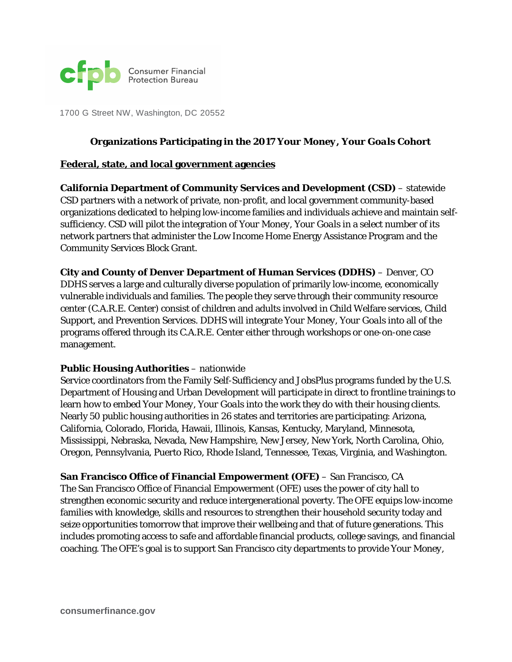

1700 G Street NW, Washington, DC 20552

#### **Organizations Participating in the 2017** *Your Money, Your Goals* **Cohort**

#### **Federal, state, and local government agencies**

**California Department of Community Services and Development (CSD)** – statewide CSD partners with a network of private, non-profit, and local government community-based organizations dedicated to helping low-income families and individuals achieve and maintain selfsufficiency. CSD will pilot the integration of *Your Money, Your Goals* in a select number of its network partners that administer the Low Income Home Energy Assistance Program and the Community Services Block Grant.

**City and County of Denver Department of Human Services (DDHS)** – Denver, CO DDHS serves a large and culturally diverse population of primarily low-income, economically vulnerable individuals and families. The people they serve through their community resource center (C.A.R.E. Center) consist of children and adults involved in Child Welfare services, Child Support, and Prevention Services. DDHS will integrate *Your Money, Your Goals* into all of the programs offered through its C.A.R.E. Center either through workshops or one-on-one case management.

#### **Public Housing Authorities** – nationwide

Service coordinators from the Family Self-Sufficiency and JobsPlus programs funded by the U.S. Department of Housing and Urban Development will participate in direct to frontline trainings to learn how to embed *Your Money, Your Goals* into the work they do with their housing clients. Nearly 50 public housing authorities in 26 states and territories are participating: Arizona, California, Colorado, Florida, Hawaii, Illinois, Kansas, Kentucky, Maryland, Minnesota, Mississippi, Nebraska, Nevada, New Hampshire, New Jersey, New York, North Carolina, Ohio, Oregon, Pennsylvania, Puerto Rico, Rhode Island, Tennessee, Texas, Virginia, and Washington.

**San Francisco Office of Financial Empowerment (OFE)** – San Francisco, CA The San Francisco Office of Financial Empowerment (OFE) uses the power of city hall to strengthen economic security and reduce intergenerational poverty. The OFE equips low-income families with knowledge, skills and resources to strengthen their household security today and seize opportunities tomorrow that improve their wellbeing and that of future generations. This includes promoting access to safe and affordable financial products, college savings, and financial coaching. The OFE's goal is to support San Francisco city departments to provide *Your Money,*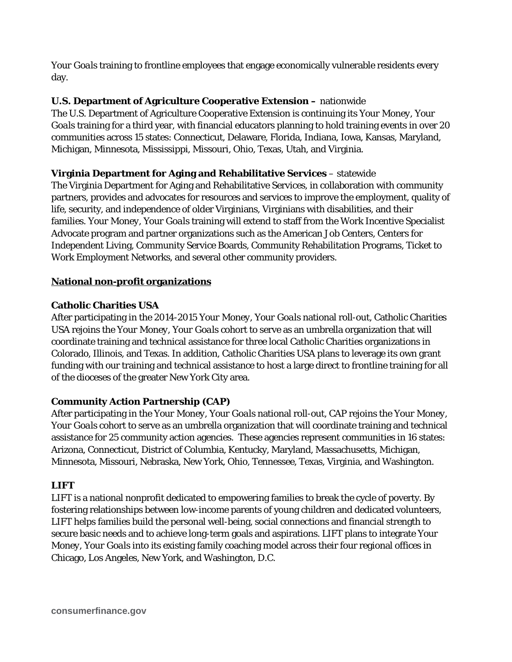*Your Goals* training to frontline employees that engage economically vulnerable residents every day.

# **U.S. Department of Agriculture Cooperative Extension –** nationwide

The U.S. Department of Agriculture Cooperative Extension is continuing its *Your Money, Your Goals* training for a third year, with financial educators planning to hold training events in over 20 communities across 15 states: Connecticut, Delaware, Florida, Indiana, Iowa, Kansas, Maryland, Michigan, Minnesota, Mississippi, Missouri, Ohio, Texas, Utah, and Virginia.

# **Virginia Department for Aging and Rehabilitative Services** – statewide

The Virginia Department for Aging and Rehabilitative Services, in collaboration with community partners, provides and advocates for resources and services to improve the employment, quality of life, security, and independence of older Virginians, Virginians with disabilities, and their families. *Your Money, Your Goals* training will extend to staff from the Work Incentive Specialist Advocate program and partner organizations such as the American Job Centers, Centers for Independent Living, Community Service Boards, Community Rehabilitation Programs, Ticket to Work Employment Networks, and several other community providers.

# **National non-profit organizations**

# **Catholic Charities USA**

After participating in the 2014-2015 *Your Money, Your Goals* national roll-out, Catholic Charities USA rejoins the *Your Money, Your Goals* cohort to serve as an umbrella organization that will coordinate training and technical assistance for three local Catholic Charities organizations in Colorado, Illinois, and Texas. In addition, Catholic Charities USA plans to leverage its own grant funding with our training and technical assistance to host a large direct to frontline training for all of the dioceses of the greater New York City area.

# **Community Action Partnership (CAP)**

After participating in the *Your Money, Your Goals* national roll-out, CAP rejoins the *Your Money, Your Goals* cohort to serve as an umbrella organization that will coordinate training and technical assistance for 25 community action agencies. These agencies represent communities in 16 states: Arizona, Connecticut, District of Columbia, Kentucky, Maryland, Massachusetts, Michigan, Minnesota, Missouri, Nebraska, New York, Ohio, Tennessee, Texas, Virginia, and Washington.

# **LIFT**

LIFT is a national nonprofit dedicated to empowering families to break the cycle of poverty. By fostering relationships between low-income parents of young children and dedicated volunteers, LIFT helps families build the personal well-being, social connections and financial strength to secure basic needs and to achieve long-term goals and aspirations. LIFT plans to integrate *Your Money, Your Goals* into its existing family coaching model across their four regional offices in Chicago, Los Angeles, New York, and Washington, D.C.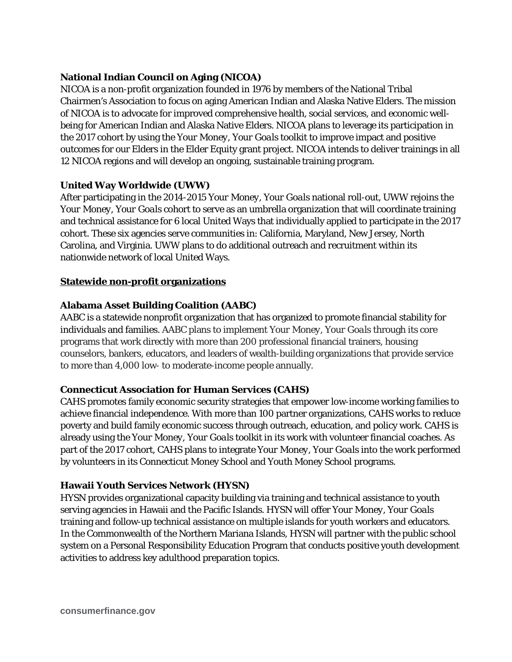# **National Indian Council on Aging (NICOA)**

NICOA is a non-profit organization founded in 1976 by members of the National Tribal Chairmen's Association to focus on aging American Indian and Alaska Native Elders. The mission of NICOA is to advocate for improved comprehensive health, social services, and economic wellbeing for American Indian and Alaska Native Elders. NICOA plans to leverage its participation in the 2017 cohort by using the *Your Money, Your Goals* toolkit to improve impact and positive outcomes for our Elders in the Elder Equity grant project. NICOA intends to deliver trainings in all 12 NICOA regions and will develop an ongoing, sustainable training program.

## **United Way Worldwide (UWW)**

After participating in the 2014-2015 *Your Money, Your Goals* national roll-out, UWW rejoins the *Your Money, Your Goals* cohort to serve as an umbrella organization that will coordinate training and technical assistance for 6 local United Ways that individually applied to participate in the 2017 cohort. These six agencies serve communities in: California, Maryland, New Jersey, North Carolina, and Virginia. UWW plans to do additional outreach and recruitment within its nationwide network of local United Ways.

## **Statewide non-profit organizations**

## **Alabama Asset Building Coalition (AABC)**

AABC is a statewide nonprofit organization that has organized to promote financial stability for individuals and families. AABC plans to implement *Your Money, Your Goals* through its core programs that work directly with more than 200 professional financial trainers, housing counselors, bankers, educators, and leaders of wealth-building organizations that provide service to more than 4,000 low- to moderate-income people annually.

#### **Connecticut Association for Human Services (CAHS)**

CAHS promotes family economic security strategies that empower low-income working families to achieve financial independence. With more than 100 partner organizations, CAHS works to reduce poverty and build family economic success through outreach, education, and policy work. CAHS is already using the *Your Money, Your Goals* toolkit in its work with volunteer financial coaches. As part of the 2017 cohort, CAHS plans to integrate *Your Money, Your Goals* into the work performed by volunteers in its Connecticut Money School and Youth Money School programs.

#### **Hawaii Youth Services Network (HYSN)**

HYSN provides organizational capacity building via training and technical assistance to youth serving agencies in Hawaii and the Pacific Islands. HYSN will offer *Your Money, Your Goals* training and follow-up technical assistance on multiple islands for youth workers and educators. In the Commonwealth of the Northern Mariana Islands, HYSN will partner with the public school system on a Personal Responsibility Education Program that conducts positive youth development activities to address key adulthood preparation topics.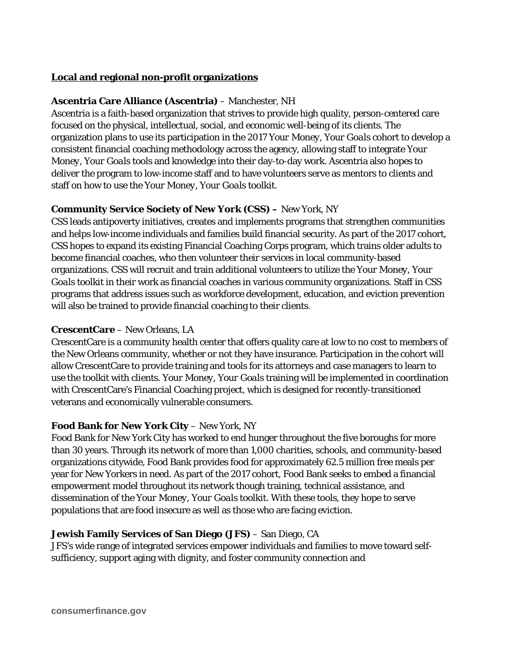#### **Local and regional non-profit organizations**

#### **Ascentria Care Alliance (Ascentria)** – Manchester, NH

Ascentria is a faith-based organization that strives to provide high quality, person-centered care focused on the physical, intellectual, social, and economic well-being of its clients. The organization plans to use its participation in the 2017 *Your Money, Your Goals* cohort to develop a consistent financial coaching methodology across the agency, allowing staff to integrate *Your Money, Your Goals* tools and knowledge into their day-to-day work. Ascentria also hopes to deliver the program to low-income staff and to have volunteers serve as mentors to clients and staff on how to use the *Your Money, Your Goals* toolkit.

## **Community Service Society of New York (CSS) –** New York, NY

CSS leads antipoverty initiatives, creates and implements programs that strengthen communities and helps low‐income individuals and families build financial security. As part of the 2017 cohort, CSS hopes to expand its existing Financial Coaching Corps program, which trains older adults to become financial coaches, who then volunteer their services in local community-based organizations. CSS will recruit and train additional volunteers to utilize the *Your Money, Your Goals* toolkit in their work as financial coaches in various community organizations. Staff in CSS programs that address issues such as workforce development, education, and eviction prevention will also be trained to provide financial coaching to their clients.

## **CrescentCare** – New Orleans, LA

CrescentCare is a community health center that offers quality care at low to no cost to members of the New Orleans community, whether or not they have insurance. Participation in the cohort will allow CrescentCare to provide training and tools for its attorneys and case managers to learn to use the toolkit with clients. *Your Money, Your Goals* training will be implemented in coordination with CrescentCare's Financial Coaching project, which is designed for recently-transitioned veterans and economically vulnerable consumers.

#### **Food Bank for New York City – New York, NY**

Food Bank for New York City has worked to end hunger throughout the five boroughs for more than 30 years. Through its network of more than 1,000 charities, schools, and community-based organizations citywide, Food Bank provides food for approximately 62.5 million free meals per year for New Yorkers in need. As part of the 2017 cohort, Food Bank seeks to embed a financial empowerment model throughout its network though training, technical assistance, and dissemination of the *Your Money, Your Goals* toolkit. With these tools, they hope to serve populations that are food insecure as well as those who are facing eviction.

# **Jewish Family Services of San Diego (JFS)** – San Diego, CA

JFS's wide range of integrated services empower individuals and families to move toward selfsufficiency, support aging with dignity, and foster community connection and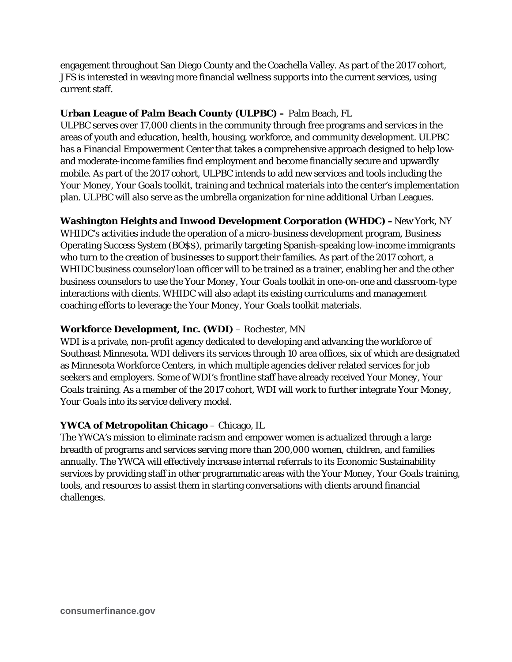engagement throughout San Diego County and the Coachella Valley. As part of the 2017 cohort, JFS is interested in weaving more financial wellness supports into the current services, using current staff.

# **Urban League of Palm Beach County (ULPBC) –** Palm Beach, FL

ULPBC serves over 17,000 clients in the community through free programs and services in the areas of youth and education, health, housing, workforce, and community development. ULPBC has a Financial Empowerment Center that takes a comprehensive approach designed to help lowand moderate-income families find employment and become financially secure and upwardly mobile. As part of the 2017 cohort, ULPBC intends to add new services and tools including the *Your Money, Your Goals* toolkit, training and technical materials into the center's implementation plan. ULPBC will also serve as the umbrella organization for nine additional Urban Leagues.

**Washington Heights and Inwood Development Corporation (WHDC) –**New York, NY

WHIDC's activities include the operation of a micro-business development program, Business Operating Success System (BO\$\$), primarily targeting Spanish-speaking low-income immigrants who turn to the creation of businesses to support their families. As part of the 2017 cohort, a WHIDC business counselor/loan officer will to be trained as a trainer, enabling her and the other business counselors to use the *Your Money, Your Goals* toolkit in one-on-one and classroom-type interactions with clients. WHIDC will also adapt its existing curriculums and management coaching efforts to leverage the *Your Money, Your Goals* toolkit materials.

# **Workforce Development, Inc. (WDI)** – Rochester, MN

WDI is a private, non-profit agency dedicated to developing and advancing the workforce of Southeast Minnesota. WDI delivers its services through 10 area offices, six of which are designated as Minnesota Workforce Centers, in which multiple agencies deliver related services for job seekers and employers. Some of WDI's frontline staff have already received *Your Money, Your Goals* training. As a member of the 2017 cohort, WDI will work to further integrate *Your Money, Your Goals* into its service delivery model.

# **YWCA of Metropolitan Chicago** – Chicago, IL

The YWCA's mission to eliminate racism and empower women is actualized through a large breadth of programs and services serving more than 200,000 women, children, and families annually. The YWCA will effectively increase internal referrals to its Economic Sustainability services by providing staff in other programmatic areas with the *Your Money, Your Goals* training, tools, and resources to assist them in starting conversations with clients around financial challenges.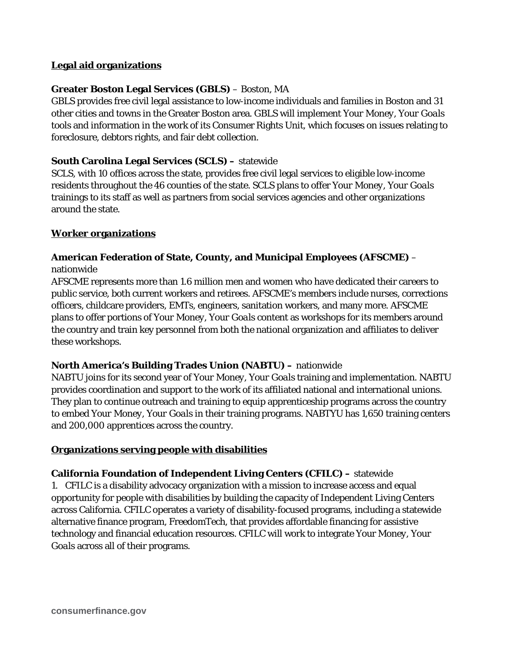## **Legal aid organizations**

## **Greater Boston Legal Services (GBLS)** – Boston, MA

GBLS provides free civil legal assistance to low-income individuals and families in Boston and 31 other cities and towns in the Greater Boston area. GBLS will implement *Your Money, Your Goals*  tools and information in the work of its Consumer Rights Unit, which focuses on issues relating to foreclosure, debtors rights, and fair debt collection.

#### **South Carolina Legal Services (SCLS) –** statewide

SCLS, with 10 offices across the state, provides free civil legal services to eligible low-income residents throughout the 46 counties of the state. SCLS plans to offer *Your Money, Your Goals*  trainings to its staff as well as partners from social services agencies and other organizations around the state.

#### **Worker organizations**

# **American Federation of State, County, and Municipal Employees (AFSCME)** –

nationwide

AFSCME represents more than 1.6 million men and women who have dedicated their careers to public service, both current workers and retirees. AFSCME's members include nurses, corrections officers, childcare providers, EMTs, engineers, sanitation workers, and many more. AFSCME plans to offer portions of *Your Money, Your Goals* content as workshops for its members around the country and train key personnel from both the national organization and affiliates to deliver these workshops.

# **North America's Building Trades Union (NABTU) –** nationwide

NABTU joins for its second year of *Your Money, Your Goals* training and implementation. NABTU provides coordination and support to the work of its affiliated national and international unions. They plan to continue outreach and training to equip apprenticeship programs across the country to embed *Your Money, Your Goals* in their training programs. NABTYU has 1,650 training centers and 200,000 apprentices across the country.

# **Organizations serving people with disabilities**

**California Foundation of Independent Living Centers (CFILC) –** statewide 1. CFILC is a disability advocacy organization with a mission to increase access and equal opportunity for people with disabilities by building the capacity of Independent Living Centers across California. CFILC operates a variety of disability-focused programs, including a statewide alternative finance program, FreedomTech, that provides affordable financing for assistive technology and financial education resources. CFILC will work to integrate Your *Money, Your Goals* across all of their programs.